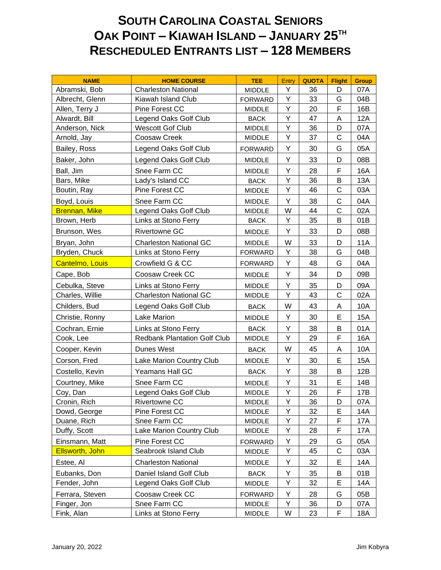## **SOUTH CAROLINA COASTAL SENIORS OAK POINT – KIAWAH ISLAND – JANUARY 25TH RESCHEDULED ENTRANTS LIST – 128 MEMBERS**

| <b>NAME</b>          | <b>HOME COURSE</b>                  | <b>TEE</b>     | <b>Entry</b> | <b>QUOTA</b> | <b>Flight</b> | <b>Group</b> |
|----------------------|-------------------------------------|----------------|--------------|--------------|---------------|--------------|
| Abramski, Bob        | <b>Charleston National</b>          | <b>MIDDLE</b>  | Y            | 36           | D             | 07A          |
| Albrecht, Glenn      | Kiawah Island Club                  | <b>FORWARD</b> | Y            | 33           | G             | 04B          |
| Allen, Terry J       | Pine Forest CC                      | <b>MIDDLE</b>  | Υ            | 20           | F             | 16B          |
| Alwardt, Bill        | Legend Oaks Golf Club               | <b>BACK</b>    | Υ            | 47           | Α             | 12A          |
| Anderson, Nick       | <b>Wescott Gof Club</b>             | MIDDLE         | Υ            | 36           | D             | 07A          |
| Arnold, Jay          | Coosaw Creek                        | <b>MIDDLE</b>  | Υ            | 37           | C             | 04A          |
| Bailey, Ross         | Legend Oaks Golf Club               | <b>FORWARD</b> | Υ            | 30           | G             | 05A          |
| Baker, John          | Legend Oaks Golf Club               | <b>MIDDLE</b>  | Y            | 33           | D             | 08B          |
| Ball, Jim            | Snee Farm CC                        | <b>MIDDLE</b>  | Υ            | 28           | F             | 16A          |
| Bars, Mike           | Lady's Island CC                    | <b>BACK</b>    | Υ            | 36           | B             | 13A          |
| Boutin, Ray          | Pine Forest CC                      | <b>MIDDLE</b>  | Υ            | 46           | $\mathsf{C}$  | 03A          |
| Boyd, Louis          | Snee Farm CC                        | <b>MIDDLE</b>  | Υ            | 38           | C             | 04A          |
| <b>Brennan, Mike</b> | Legend Oaks Golf Club               | <b>MIDDLE</b>  | W            | 44           | C             | 02A          |
| Brown, Herb          | Links at Stono Ferry                | <b>BACK</b>    | Υ            | 35           | B             | 01B          |
| Brunson, Wes         | <b>Rivertowne GC</b>                | <b>MIDDLE</b>  | Υ            | 33           | D             | 08B          |
| Bryan, John          | <b>Charleston National GC</b>       | <b>MIDDLE</b>  | W            | 33           | D             | <b>11A</b>   |
| Bryden, Chuck        | Links at Stono Ferry                | <b>FORWARD</b> | Υ            | 38           | G             | 04B          |
| Cantelmo, Louis      | Crowfield G & CC                    | <b>FORWARD</b> | Υ            | 48           | G             | 04A          |
| Cape, Bob            | Coosaw Creek CC                     | <b>MIDDLE</b>  | Υ            | 34           | D             | 09B          |
| Cebulka, Steve       | Links at Stono Ferry                | <b>MIDDLE</b>  | Υ            | 35           | D             | 09A          |
| Charles, Willie      | <b>Charleston National GC</b>       | <b>MIDDLE</b>  | Υ            | 43           | C             | 02A          |
| Childers, Bud        | Legend Oaks Golf Club               | <b>BACK</b>    | W            | 43           | A             | 10A          |
| Christie, Ronny      | Lake Marion                         | <b>MIDDLE</b>  | Υ            | 30           | E             | <b>15A</b>   |
| Cochran, Ernie       | Links at Stono Ferry                | <b>BACK</b>    | Υ            | 38           | B             | 01A          |
| Cook, Lee            | <b>Redbank Plantation Golf Club</b> | MIDDLE         | Υ            | 29           | F             | 16A          |
| Cooper, Kevin        | Dunes West                          | <b>BACK</b>    | W            | 45           | A             | 10A          |
| Corson, Fred         | Lake Marion Country Club            | <b>MIDDLE</b>  | Υ            | 30           | E             | <b>15A</b>   |
| Costello, Kevin      | Yeamans Hall GC                     | <b>BACK</b>    | Υ            | 38           | B             | 12B          |
| Courtney, Mike       | Snee Farm CC                        | <b>MIDDLE</b>  | Υ            | 31           | E             | 14B          |
| Coy, Dan             | Legend Oaks Golf Club               | <b>MIDDLE</b>  | Y            | 26           | F             | 17B          |
| Cronin, Rich         | Rivertowne CC                       | <b>MIDDLE</b>  | Y            | 36           | D             | 07A          |
| Dowd, George         | Pine Forest CC                      | <b>MIDDLE</b>  | Υ            | 32           | E             | 14A          |
| Duane, Rich          | Snee Farm CC                        | <b>MIDDLE</b>  | Υ            | 27           | F             | 17A          |
| Duffy, Scott         | Lake Marion Country Club            | <b>MIDDLE</b>  | Υ            | 28           | F             | 17A          |
| Einsmann, Matt       | Pine Forest CC                      | <b>FORWARD</b> | Y            | 29           | G             | 05A          |
| Ellsworth, John      | Seabrook Island Club                | MIDDLE         | Υ            | 45           | $\mathsf C$   | 03A          |
| Estee, Al            | <b>Charleston National</b>          | <b>MIDDLE</b>  | Υ            | 32           | E             | 14A          |
| Eubanks, Don         | Daniel Island Golf Club             | <b>BACK</b>    | Υ            | 35           | Β             | 01B          |
| Fender, John         | Legend Oaks Golf Club               | <b>MIDDLE</b>  | Υ            | 32           | E             | 14A          |
| Ferrara, Steven      | Coosaw Creek CC                     | <b>FORWARD</b> | Υ            | 28           | G             | 05B          |
| Finger, Jon          | Snee Farm CC                        | <b>MIDDLE</b>  | Υ            | 36           | D             | 07A          |
| Fink, Alan           | Links at Stono Ferry                | <b>MIDDLE</b>  | W            | 23           | F             | 18A          |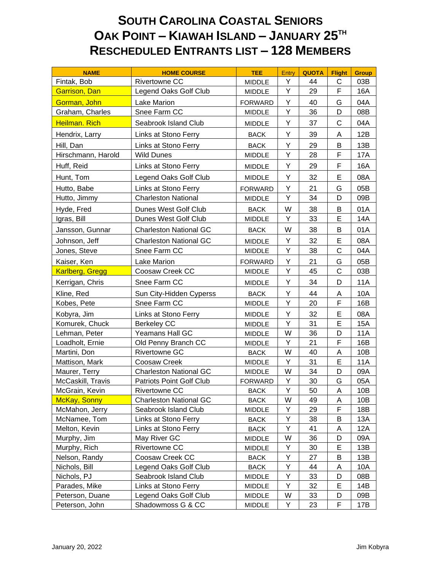## **SOUTH CAROLINA COASTAL SENIORS OAK POINT – KIAWAH ISLAND – JANUARY 25TH RESCHEDULED ENTRANTS LIST – 128 MEMBERS**

| <b>NAME</b>            | <b>HOME COURSE</b>            | <b>TEE</b>     | Entry | <b>QUOTA</b> | <b>Flight</b> | <b>Group</b> |
|------------------------|-------------------------------|----------------|-------|--------------|---------------|--------------|
| Fintak, Bob            | <b>Rivertowne CC</b>          | <b>MIDDLE</b>  | Y     | 44           | C             | 03B          |
| Garrison, Dan          | Legend Oaks Golf Club         | MIDDLE         | Υ     | 29           | F             | 16A          |
| Gorman, John           | <b>Lake Marion</b>            | <b>FORWARD</b> | Y     | 40           | G             | 04A          |
| Graham, Charles        | Snee Farm CC                  | <b>MIDDLE</b>  | Υ     | 36           | D             | 08B          |
| Heilman. Rich          | Seabrook Island Club          | <b>MIDDLE</b>  | Y     | 37           | C             | 04A          |
| Hendrix, Larry         | Links at Stono Ferry          | <b>BACK</b>    | Υ     | 39           | A             | 12B          |
| Hill, Dan              | Links at Stono Ferry          | <b>BACK</b>    | Υ     | 29           | B             | 13B          |
| Hirschmann, Harold     | <b>Wild Dunes</b>             | <b>MIDDLE</b>  | Υ     | 28           | F             | 17A          |
| Huff, Reid             | Links at Stono Ferry          | <b>MIDDLE</b>  | Υ     | 29           | F             | 16A          |
| Hunt, Tom              | Legend Oaks Golf Club         | <b>MIDDLE</b>  | Υ     | 32           | Е             | 08A          |
| Hutto, Babe            | Links at Stono Ferry          | <b>FORWARD</b> | Υ     | 21           | G             | 05B          |
| Hutto, Jimmy           | <b>Charleston National</b>    | <b>MIDDLE</b>  | Υ     | 34           | D             | 09B          |
| Hyde, Fred             | Dunes West Golf Club          | <b>BACK</b>    | W     | 38           | B             | 01A          |
| Igras, Bill            | Dunes West Golf Club          | <b>MIDDLE</b>  | Y     | 33           | E             | 14A          |
| Jansson, Gunnar        | <b>Charleston National GC</b> | <b>BACK</b>    | W     | 38           | B             | 01A          |
| Johnson, Jeff          | <b>Charleston National GC</b> | <b>MIDDLE</b>  | Y     | 32           | E             | 08A          |
| Jones, Steve           | Snee Farm CC                  | <b>MIDDLE</b>  | Υ     | 38           | C             | 04A          |
| Kaiser, Ken            | Lake Marion                   | <b>FORWARD</b> | Υ     | 21           | G             | 05B          |
| <b>Karlberg, Gregg</b> | Coosaw Creek CC               | <b>MIDDLE</b>  | Υ     | 45           | $\mathsf C$   | 03B          |
| Kerrigan, Chris        | Snee Farm CC                  | <b>MIDDLE</b>  | Υ     | 34           | D             | <b>11A</b>   |
| Kline, Red             | Sun City-Hidden Cyperss       | <b>BACK</b>    | Υ     | 44           | A             | 10A          |
| Kobes, Pete            | Snee Farm CC                  | <b>MIDDLE</b>  | Υ     | 20           | F             | 16B          |
| Kobyra, Jim            | Links at Stono Ferry          | <b>MIDDLE</b>  | Υ     | 32           | E             | 08A          |
| Komurek, Chuck         | <b>Berkeley CC</b>            | <b>MIDDLE</b>  | Υ     | 31           | E             | <b>15A</b>   |
| Lehman, Peter          | Yeamans Hall GC               | <b>MIDDLE</b>  | W     | 36           | D             | <b>11A</b>   |
| Loadholt, Ernie        | Old Penny Branch CC           | <b>MIDDLE</b>  | Υ     | 21           | F             | 16B          |
| Martini, Don           | Rivertowne GC                 | <b>BACK</b>    | W     | 40           | Α             | 10B          |
| Mattison, Mark         | Coosaw Creek                  | <b>MIDDLE</b>  | Υ     | 31           | E             | <b>11A</b>   |
| Maurer, Terry          | <b>Charleston National GC</b> | <b>MIDDLE</b>  | W     | 34           | D             | 09A          |
| McCaskill, Travis      | Patriots Point Golf Club      | <b>FORWARD</b> | Υ     | 30           | G             | 05A          |
| McGrain, Kevin         | Rivertowne CC                 | <b>BACK</b>    | Υ     | 50           | Α             | 10B          |
| <b>McKay, Sonny</b>    | <b>Charleston National GC</b> | <b>BACK</b>    | W     | 49           | Α             | 10B          |
| McMahon, Jerry         | Seabrook Island Club          | MIDDLE         | Y     | 29           | F             | 18B          |
| McNamee, Tom           | Links at Stono Ferry          | <b>BACK</b>    | Υ     | 38           | В             | 13A          |
| Melton, Kevin          | Links at Stono Ferry          | <b>BACK</b>    | Υ     | 41           | Α             | 12A          |
| Murphy, Jim            | May River GC                  | <b>MIDDLE</b>  | W     | 36           | D             | 09A          |
| Murphy, Rich           | Rivertowne CC                 | MIDDLE         | Y     | 30           | Е             | 13B          |
| Nelson, Randy          | Coosaw Creek CC               | <b>BACK</b>    | Υ     | 27           | Β             | 13B          |
| Nichols, Bill          | Legend Oaks Golf Club         | <b>BACK</b>    | Υ     | 44           | Α             | 10A          |
| Nichols, PJ            | Seabrook Island Club          | MIDDLE         | Υ     | 33           | D             | 08B          |
| Parades, Mike          | Links at Stono Ferry          | <b>MIDDLE</b>  | Y     | 32           | Ε             | 14B          |
| Peterson, Duane        | Legend Oaks Golf Club         | <b>MIDDLE</b>  | W     | 33           | D             | 09B          |
| Peterson, John         | Shadowmoss G & CC             | <b>MIDDLE</b>  | Y     | 23           | F             | 17B          |